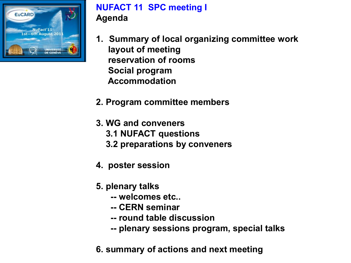

# **NUFACT 11 SPC meeting I Agenda**

- **1. Summary of local organizing committee work layout of meeting reservation of rooms Social program Accommodation**
- **2. Program committee members**
- **3. WG and conveners 3.1 NUFACT questions 3.2 preparations by conveners**
- **4. poster session**
- **5. plenary talks** 
	- **-- welcomes etc..**
	- **-- CERN seminar**
	- **-- round table discussion**
	- **-- plenary sessions program, special talks**
- **6. summary of actions and next meeting**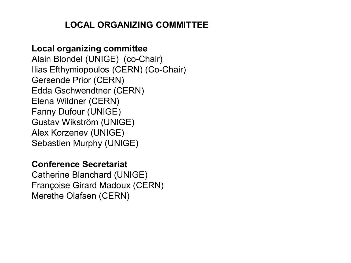# **LOCAL ORGANIZING COMMITTEE**

#### **Local organizing committee**

Alain Blondel (UNIGE) (co-Chair) Ilias Efthymiopoulos (CERN) (Co-Chair) Gersende Prior (CERN) Edda Gschwendtner (CERN) Elena Wildner (CERN) Fanny Dufour (UNIGE) Gustav Wikström (UNIGE) Alex Korzenev (UNIGE) Sebastien Murphy (UNIGE)

#### **Conference Secretariat**

Catherine Blanchard (UNIGE) Françoise Girard Madoux (CERN) Merethe Olafsen (CERN)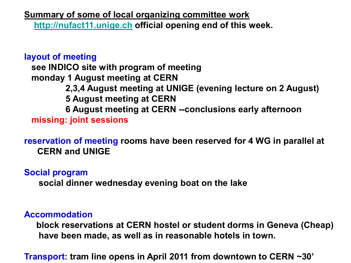**Summary of some of local organizing committee work [http://nufact11.unige.ch](http://nufact11.unige.ch/) official opening end of this week.** 

## **layout of meeting see INDICO site with program of meeting monday 1 August meeting at CERN 2,3,4 August meeting at UNIGE (evening lecture on 2 August) 5 August meeting at CERN 6 August meeting at CERN --conclusions early afternoon missing: joint sessions**

**reservation of meeting rooms have been reserved for 4 WG in parallel at CERN and UNIGE**

**Social program**

**social dinner wednesday evening boat on the lake** 

#### **Accommodation**

**block reservations at CERN hostel or student dorms in Geneva (Cheap) have been made, as well as in reasonable hotels in town.** 

**Transport: tram line opens in April 2011 from downtown to CERN ~30'**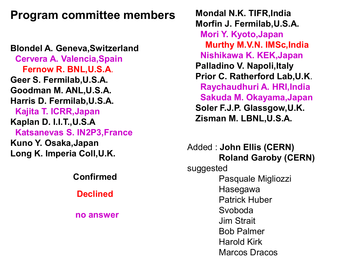# **Program committee members**

**Blondel A. Geneva,Switzerland Cervera A. Valencia,Spain Fernow R. BNL,U.S.A**. **Geer S. Fermilab,U.S.A. Goodman M. ANL,U.S.A. Harris D. Fermilab,U.S.A. Kajita T. ICRR,Japan Kaplan D. I.I.T.,U.S.A Katsanevas S. IN2P3,France Kuno Y. Osaka,Japan Long K. Imperia Coll,U.K.**

**Confirmed**

**Declined**

**no answer**

**Mondal N.K. TIFR,India Morfin J. Fermilab,U.S.A. Mori Y. Kyoto,Japan Murthy M.V.N. IMSc,India Nishikawa K. KEK,Japan Palladino V. Napoli,Italy Prior C. Ratherford Lab,U.K**. **Raychaudhuri A. HRI,India Sakuda M. Okayama,Japan Soler F.J.P. Glassgow,U.K. Zisman M. LBNL,U.S.A.**

Added : **John Ellis (CERN) Roland Garoby (CERN)** suggested Pasquale Migliozzi Hasegawa Patrick Huber Svoboda Jim Strait Bob Palmer Harold Kirk Marcos Dracos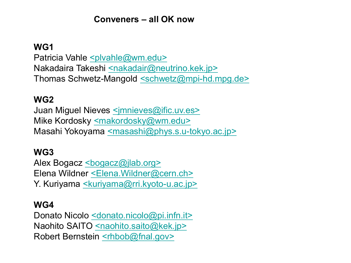#### **Conveners – all OK now**

#### **WG1**

Patricia Vahle [<plvahle@wm.edu>](mailto:plvahle@wm.edu) Nakadaira Takeshi [<nakadair@neutrino.kek.jp>](mailto:nakadair@neutrino.kek.jp) Thomas Schwetz-Mangold [<schwetz@mpi-hd.mpg.de>](mailto:schwetz@mpi-hd.mpg.de)

#### **WG2**

Juan Miguel Nieves [<jmnieves@ific.uv.es>](mailto:jmnieves@ific.uv.es) Mike Kordosky [<makordosky@wm.edu>](mailto:makordosky@wm.edu) Masahi Yokoyama [<masashi@phys.s.u-tokyo.ac.jp>](mailto:masashi@phys.s.u-tokyo.ac.jp)

#### **WG3**

Alex Bogacz <br/>bogacz@jlab.org> Elena Wildner [<Elena.Wildner@cern.ch>](mailto:Elena.Wildner@cern.ch) Y. Kuriyama [<kuriyama@rri.kyoto-u.ac.jp>](mailto:kuriyama@rri.kyoto-u.ac.jp)

#### **WG4**

Donato Nicolo [<donato.nicolo@pi.infn.it>](mailto:donato.nicolo@pi.infn.it) Naohito SAITO [<naohito.saito@kek.jp>](mailto:naohito.saito@kek.jp) Robert Bernstein [<rhbob@fnal.gov>](mailto:rhbob@fnal.gov)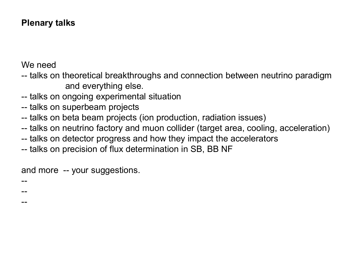## **Plenary talks**

We need

--

--

--

- -- talks on theoretical breakthroughs and connection between neutrino paradigm and everything else.
- -- talks on ongoing experimental situation
- -- talks on superbeam projects
- -- talks on beta beam projects (ion production, radiation issues)
- -- talks on neutrino factory and muon collider (target area, cooling, acceleration)
- -- talks on detector progress and how they impact the accelerators
- -- talks on precision of flux determination in SB, BB NF

and more -- your suggestions.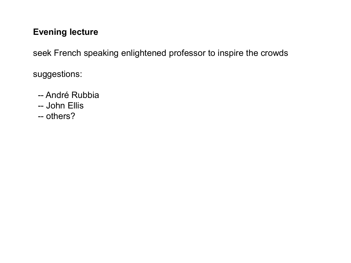## **Evening lecture**

seek French speaking enlightened professor to inspire the crowds

suggestions:

- -- André Rubbia
- -- John Ellis
- -- others?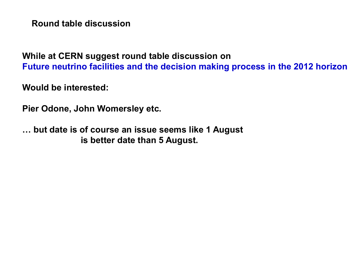**Round table discussion**

**While at CERN suggest round table discussion on Future neutrino facilities and the decision making process in the 2012 horizon**

**Would be interested:**

**Pier Odone, John Womersley etc.** 

**… but date is of course an issue seems like 1 August is better date than 5 August.**